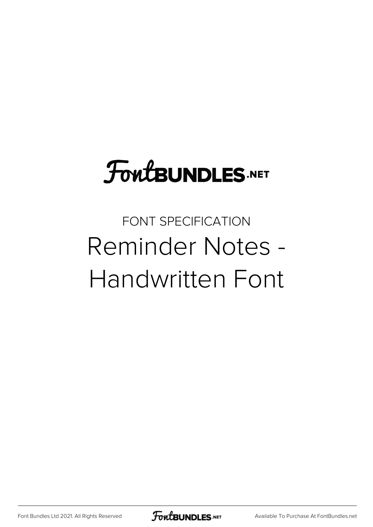# **FoutBUNDLES.NET**

### FONT SPECIFICATION Reminder Notes - Handwritten Font

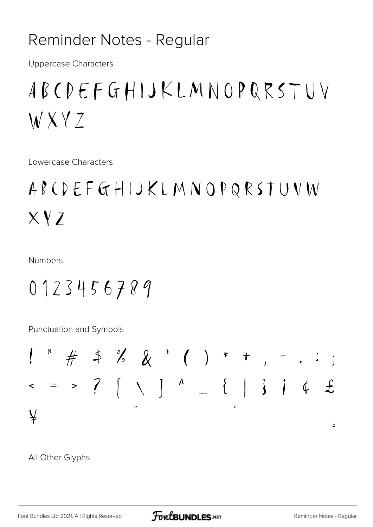#### Reminder Notes - Regular

**Uppercase Characters** 

## ABCDEFGHIJKLMNOPQRSTUV WXYZ

Lowercase Characters

### ABCDEFGHIJKLMNOPQRSTUVW  $XYZ$

**Numbers** 

#### 0123456789

Punctuation and Symbols



All Other Glyphs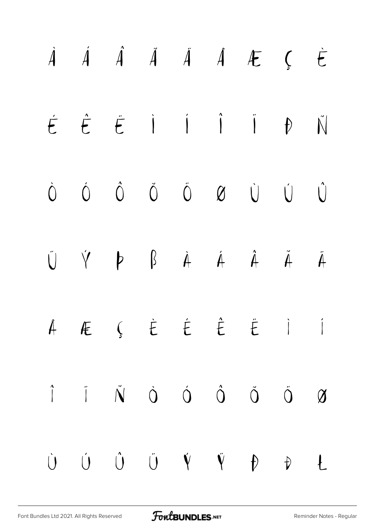